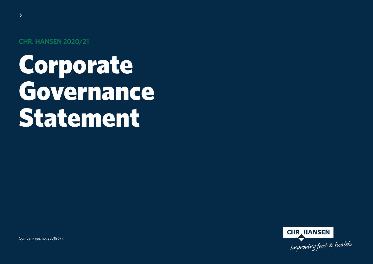**CHR. HANSEN 2020/21**

 $\sum$ 

# Corporate Governance Statement

**CHR HANSEN** Improving food & health

Company reg. no. 28318677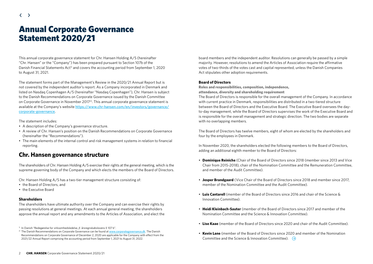### Annual Corporate Governance Statement 2020/21

This annual corporate governance statement for Chr. Hansen Holding A/S (hereinafter "Chr. Hansen" or the "Company") has been prepared pursuant to Section 107b of the Danish Financial Statements Act<sup>1</sup> and covers the accounting period from September 1, 2020 to August 31, 2021.

The statement forms part of the Management's Review in the 2020/21 Annual Report but is not covered by the independent auditor's report. As a Company incorporated in Denmark and listed on Nasdaq Copenhagen A/S (hereinafter "Nasdaq Copenhagen"), Chr. Hansen is subject to the Danish Recommendations on Corporate Governance issued by the Danish Committee on Corporate Governance in November 20172). This annual corporate governance statement is available at the Company's website [https://www.chr-hansen.com/en/investors/governance/](https://www.chr-hansen.com/en/investors/governance/corporate-governance) [corporate-governance](https://www.chr-hansen.com/en/investors/governance/corporate-governance).

The statement includes:

- A description of the Company's governance structure.
- A review of Chr. Hansen's position on the Danish Recommendations on Corporate Governance (hereinafter the "Recommendations").
- The main elements of the internal control and risk management systems in relation to financial reporting.

### **Chr. Hansen governance structure**

The shareholders of Chr. Hansen Holding A/S exercise their rights at the general meeting, which is the supreme governing body of the Company and which elects the members of the Board of Directors.

Chr. Hansen Holding A/S has a two-tier management structure consisting of:

- the Board of Directors, and
- the Executive Board

### **Shareholders**

The shareholders have ultimate authority over the Company and can exercise their rights by passing resolutions at general meetings. At each annual general meeting, the shareholders approve the annual report and any amendments to the Articles of Association, and elect the board members and the independent auditor. Resolutions can generally be passed by a simple majority. However, resolutions to amend the Articles of Association require the affirmative votes of two-thirds of the votes cast and capital represented, unless the Danish Companies Act stipulates other adoption requirements.

### **Board of Directors**

**Roles and responsibilities, composition, independence, attendance, diversity and shareholding requirement**

The Board of Directors is responsible for the overall management of the Company. In accordance with current practice in Denmark, responsibilities are distributed in a two-tiered structure between the Board of Directors and the Executive Board. The Executive Board oversees the dayto-day management, while the Board of Directors supervises the work of the Executive Board and is responsible for the overall management and strategic direction. The two bodies are separate with no overlapping members.

The Board of Directors has twelve members, eight of whom are elected by the shareholders and four by the employees in Denmark.

In November 2020, the shareholders elected the following members to the Board of Directors, adding an additional eighth member to the Board of Directors:

- **Dominique Reiniche** (Chair of the Board of Directors since 2018 (member since 2013 and Vice Chair from 2015-2018), chair of the Nomination Committee and the Remuneration Committee, and member of the Audit Committee).
- **Jesper Brandgaard** (Vice Chair of the Board of Directors since 2018 and member since 2017, member of the Nomination Committee and the Audit Committee).
- **Luis Cantarell** (member of the Board of Directors since 2016 and chair of the Science & Innovation Committee).
- **Heidi Kleinbach-Sauter** (member of the Board of Directors since 2017 and member of the Nomination Committee and the Science & Innovation Committee).
- **Lise Kaae** (member of the Board of Directors since 2020 and chair of the Audit Committee).
- **Kevin Lane** (member of the Board of Directors since 2020 and member of the Nomination Committee and the Science & Innovation Committee).  $\Theta$

<sup>&</sup>lt;sup>1)</sup> In Danish "Redegørelse for virksomhedsledelse, jf. årsregnskabslovens § 107 b".

<sup>&</sup>lt;sup>2)</sup> The Danish Recommendations on Corporate Governance can be found at www.corporategovernance.dk. The Danish Recommendations on Corporate Governance of December 2, 2020 are applicable for the Company with effect from the 2021/22 Annual Report comprising the accounting period from September 1, 2021 to August 31, 2022.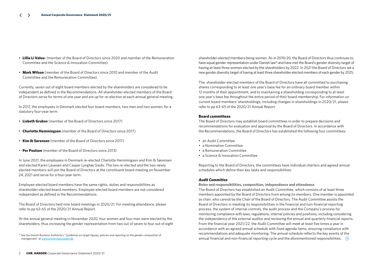- **Lillie Li Valeu**r (member of the Board of Directors since 2020 and member of the Remuneration Committee and the Science & Innovation Committee).
- **Mark Wilson** (member of the Board of Directors since 2010 and member of the Audit Committee and the Remuneration Committee).

Currently, seven out of eight board members elected by the shareholders are considered to be independent as defined in the Recommendations. All shareholder-elected members of the Board of Directors serve for terms of one year and are up for re-election at each annual general meeting.

In 2017, the employees in Denmark elected four board members, two men and two women, for a statutory four-year term:

- **Lisbeth Grubov** (member of the Board of Directors since 2017)
- **Charlotte Hemmingsen** (member of the Board of Directors since 2017)
- **Kim Ib Sørensen** (member of the Board of Directors since 2017)
- **Per Poulsen** (member of the Board of Directors since 2013)

In June 2021, the employees in Denmark re-elected Charlotte Hemmingsen and Kim Ib Sørensen and elected Karen Lauesen and Casper Lynghøj Giedo. The two re-elected and the two newly elected members will join the Board of Directors at the constituent board meeting on November 24, 2021 and serve for a four-year term.

Employee-elected board members have the same rights, duties and responsibilities as shareholder-elected board members. Employee-elected board members are not considered independent as defined in the Recommendations.

The Board of Directors held nine board meetings in 2020/21. For meeting attendance, please refer to pp 63-65 of the 2020/21 Annual Report.

At the annual general meeting in November 2020, four women and four men were elected by the shareholders, thus increasing the gender representation from two out of seven to four out of eight shareholder-elected members being women. As in 2019/20, the Board of Directors thus continues to have equal gender representation under Danish law<sup>3)</sup> and have met the Board's gender diversity target of having at least three women elected by the shareholders by 2022. In 2021 the Board of Directors set a new gender diversity target of having at least three shareholder-elected members of each gender by 2025.

The shareholder-elected members of the Board of Directors have all committed to purchasing shares corresponding to at least one year's base fee for an ordinary board member within 12 months of their appointment, and to maintaining a shareholding corresponding to at least one year's base fee throughout the entire period of their board membership. For information on current board members' shareholdings, including changes in shareholdings in 2020/21, please refer to pp 63-65 of the 2020/21 Annual Report.

### **Board committees**

The Board of Directors may establish board committees in order to prepare decisions and recommendations for evaluation and approval by the Board of Directors. In accordance with the Recommendations, the Board of Directors has established the following four committees:

- an Audit Committee
- a Nomination Committee
- a Remuneration Committee
- a Science & Innovation Committee

Reporting to the Board of Directors, the committees have individual charters and agreed annual schedules which define their key tasks and responsibilities.

### *Audit Committee*

**Roles and responsibilities, composition, independence and attendance** The Board of Directors has established an Audit Committee, which consists of at least three members appointed by the Board of Directors from among its members. One member is appointed as chair, who cannot be the Chair of the Board of Directors. The Audit Committee assists the Board of Directors in meeting its responsibilities in the financial and non-financial reporting process, the system of internal controls, the audit process and the Company's process for monitoring compliance with laws, regulations, internal policies and positions, including considering the independence of the external auditor and reviewing the annual and quarterly financial reports. From the financial year 2021/22, the Audit Committee will meet at least five times a year in accordance with an agreed annual schedule with fixed agenda items, ensuring compliance with recommendations and adequate monitoring. The annual schedule reflects the key events of the annual financial and non-financial reporting cycle and the aforementioned responsibilities.  $\quad \ominus$ 

<sup>3)</sup> See the Danish Business Authority's" Guidelines on target figures, policies and reporting on the gender composition of management" at <www.erhvervsstyrelsen.dk>.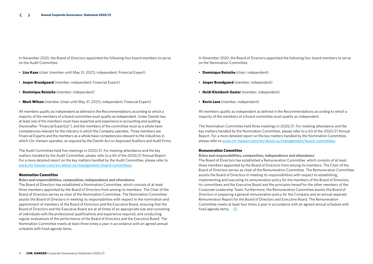In November 2020, the Board of Directors appointed the following four board members to serve on the Audit Committee:

- **Lise Kaae** (chair (member until May 31, 2021), independent; Financial Expert)
- **Jesper Brandgaard** (member; independent; Financial Expert)
- **Dominique Reiniche** (member; independent)
- **Mark Wilson** (member (chair until May 31, 2021); independent; Financial Expert)

All members qualify as independent as defined in the Recommendations according to which a majority of the members of a board committee must qualify as independent. Under Danish law, at least one of the members must have expertise and experience in accounting and auditing (hereinafter "Financial Expert(s)"), and the members of the committee must as a whole have competencies relevant for the industry in which the Company operates. Three members are Financial Experts and the members as a whole have competencies relevant to the industries in which Chr. Hansen operates, as required by the Danish Act on Approved Auditors and Audit Firms.

The Audit Committee held five meetings in 2020/21. For meeting attendance and the key matters handled by the Audit Committee, please refer to p 60 of the 2020/21 Annual Report. For a more detailed report on the key matters handled by the Audit Committee, please refer to [www.chr-hansen.com/en/about-us/management/board-committees](https://www.chr-hansen.com/en/about-us/management/board-committees).

### *Nomination Committee*

#### **Roles and responsibilities, composition, independence and attendance**

The Board of Directors has established a Nomination Committee, which consists of at least three members appointed by the Board of Directors from among its members. The Chair of the Board of Directors serves as chair of the Nomination Committee. The Nomination Committee assists the Board of Directors in meeting its responsibilities with respect to the nomination and appointment of members of the Board of Directors and the Executive Board, ensuring that the Board of Directors and the Executive Board are at all times of an appropriate size and consisting of individuals with the professional qualifications and experience required, and conducting regular evaluations of the performance of the Board of Directors and the Executive Board. The Nomination Committee meets at least three times a year in accordance with an agreed annual schedule with fixed agenda items.

In November 2020, the Board of Directors appointed the following four board members to serve on the Nomination Committee:

- **Dominique Reiniche** (chair; independent)
- **Jesper Brandgaard** (member; independent)
- **Heidi Kleinbach-Sauter** (member, independent)
- **Kevin Lane** (member, independent)

All members qualify as independent as defined in the Recommendations according to which a majority of the members of a board committee must qualify as independent.

The Nomination Committee held three meetings in 2020/21. For meeting attendance and the key matters handled by the Nomination Committee, please refer to p 60 of the 2020/21 Annual Report. For a more detailed report on the key matters handled by the Nomination Committee, please refer to [www.chr-hansen.com/en/about-us/management/board-committees](https://www.chr-hansen.com/en/about-us/management/board-committees).

### *Remuneration Committee*

### **Roles and responsibilities, composition, independence and attendance**

The Board of Directors has established a Remuneration Committee, which consists of at least three members appointed by the Board of Directors from among its members. The Chair of the Board of Directors serves as chair of the Remuneration Committee. The Remuneration Committee assists the Board of Directors in meeting its responsibilities with respect to establishing, implementing and executing its remuneration policy for the members of the Board of Directors, its committees and the Executive Board and the principles hereof for the other members of the Corporate Leadership Team. Furthermore, the Remuneration Committee assists the Board of Directors in preparing a general remuneration policy for the Company and an annual separate Remuneration Report for the Board of Directors and Executive Board. The Remuneration Committee meets at least four times a year in accordance with an agreed annual schedule with fixed agenda items.  $\Theta$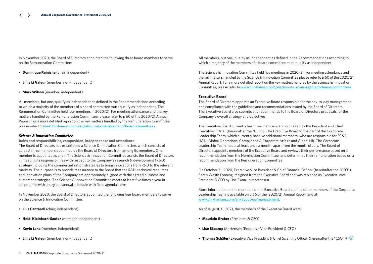In November 2020, the Board of Directors appointed the following three board members to serve on the Remuneration Committee:

- **Dominique Reiniche** (chair; independent)
- **Lillie Li Valeur** (member; non-independent)
- **Mark Wilson** (member; independent)

All members, but one, qualify as independent as defined in the Recommendations according to which a majority of the members of a board committee must qualify as independent. The Remuneration Committee held four meetings in 2020/21. For meeting attendance and the key matters handled by the Remuneration Committee, please refer to p 60 of the 2020/21 Annual Report. For a more detailed report on the key matters handled by the Remuneration Committee, please refer to [www.chr-hansen.com/en/about-us/management/board-committees](https://www.chr-hansen.com/en/about-us/management/board-committees).

### *Science & Innovation Committee*

**Roles and responsibilities, composition, independence and attendance** The Board of Directors has established a Science & Innovation Committee, which consists of

at least three members appointed by the Board of Directors from among its members. One member is appointed as chair. The Science & Innovation Committee assists the Board of Directors in meeting its responsibilities with respect to the Company's research & development (R&D) strategy including the commercialization strategies to bring innovations from R&D to the relevant markets. The purpose is to provide reassurance to the Board that the R&D, technical resources and innovation plans of the Company are appropriately aligned with the agreed business and customer strategies. The Science & Innovation Committee meets at least five times a year in accordance with an agreed annual schedule with fixed agenda items.

In November 2020, the Board of Directors appointed the following four board members to serve on the Science & Innovation Committee:

- **Luis Cantarell** (chair; independent)
- **Heidi Kleinbach-Sauter** (member; independent)
- **Kevin Lane** (member; independent)
- **Lillie Li Valeur** (member; non-independent)

All members, but one, qualify as independent as defined in the Recommendations according to which a majority of the members of a board committee must qualify as independent.

The Science & Innovation Committee held five meetings in 2020/21. For meeting attendance and the key matters handled by the Science & Innovation Committee please refer to p 60 of the 2020/21 Annual Report. For a more detailed report on the key matters handled by the Science & Innovation Committee, please refer to [www.chr-hansen.com/en/about-us/management/board-committees](https://www.chr-hansen.com/en/about-us/management/board-committees).

### **Executive Board**

The Board of Directors appoints an Executive Board responsible for the day-to-day management and compliance with the guidelines and recommendations issued by the Board of Directors. The Executive Board also submits and recommends to the Board of Directors proposals for the Company's overall strategy and objectives.

The Executive Board currently has three members and is chaired by the President and Chief Executive Officer (hereinafter the "CEO"). The Executive Board forms part of the Corporate Leadership Team, which currently has five additional members, who are responsible for FC&E, H&N, Global Operations, Compliance & Corporate Affairs and Global HR. The Corporate Leadership Team meets at least once a month, apart from the month of July. The Board of Directors appoints members of the Executive Board and reviews their performance based on a recommendation from the Nomination Committee, and determines their remuneration based on a recommendation from the Remuneration Committee.

On October 31, 2020, Executive Vice President & Chief Financial Officer (hereinafter the "CFO"), Søren Westh Lonning, resigned from the Executive Board and was replaced as Executive Vice President & CFO by Lise Skaarup Mortensen.

More information on the members of the Executive Board and the other members of the Corporate Leadership Team is available on p 66 of the 2020/21 Annual Report and at www.chr-hansen.com/en/about-us/management.

As of August 31, 2021, the members of the Executive Board were:

- **Mauricio Graber** (President & CEO)
- **Lise Skaarup** Mortensen (Executive Vice President & CFO)
- **Thomas Schäfer** (Executive Vice President & Chief Scientific Officer (hereinafter the "CSO"))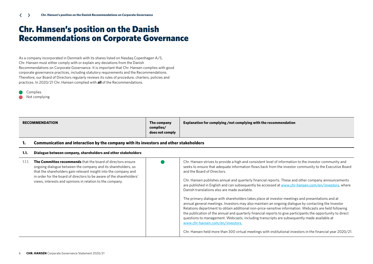### Chr. Hansen's position on the Danish Recommendations on Corporate Governance

As a company incorporated in Denmark with its shares listed on Nasdaq Copenhagen A/S, Chr. Hansen must either comply with or explain any deviations from the Danish Recommendations on Corporate Governance. It is important that Chr. Hansen complies with good corporate governance practices, including statutory requirements and the Recommendations. Therefore, our Board of Directors regularly reviews its rules of procedure, charters, policies and practices. In 2020/21 Chr. Hansen complied with **all** of the Recommendations.

Complies

Not complying

|  | <b>RECOMMENDATION</b> | The company<br>complies/<br>does not comply | Explanation for complying /not complying with the recommendation |
|--|-----------------------|---------------------------------------------|------------------------------------------------------------------|
|--|-----------------------|---------------------------------------------|------------------------------------------------------------------|

### **1. Communication and interaction by the company with its investors and other stakeholders**

### **1.1. Dialogue between company, shareholders and other stakeholders**

| The Committee recommends that the board of directors ensure<br>ongoing dialogue between the company and its shareholders, so<br>that the shareholders gain relevant insight into the company and<br>in order for the board of directors to be aware of the shareholders'<br>views, interests and opinions in relation to the company. | Chr. Hansen strives to provide a high and consistent level of information to the investor community and<br>seeks to ensure that adequate information flows back from the investor community to the Executive Board<br>and the Board of Directors.<br>Chr. Hansen publishes annual and quarterly financial reports. These and other company announcements<br>are published in English and can subsequently be accessed at www.chr-hansen.com/en/investors, where<br>Danish translations also are made available.                                                                                                                                                                     |
|---------------------------------------------------------------------------------------------------------------------------------------------------------------------------------------------------------------------------------------------------------------------------------------------------------------------------------------|-------------------------------------------------------------------------------------------------------------------------------------------------------------------------------------------------------------------------------------------------------------------------------------------------------------------------------------------------------------------------------------------------------------------------------------------------------------------------------------------------------------------------------------------------------------------------------------------------------------------------------------------------------------------------------------|
|                                                                                                                                                                                                                                                                                                                                       | The primary dialogue with shareholders takes place at investor meetings and presentations and at<br>annual general meetings. Investors may also maintain an ongoing dialogue by contacting the Investor<br>Relations department to obtain additional non-price-sensitive information. Webcasts are held following<br>the publication of the annual and quarterly financial reports to give participants the opportunity to direct<br>questions to management. Webcasts, including transcripts are subsequently made available at<br>www.chr-hansen.com/en/investors.<br>Chr. Hansen held more than 300 virtual meetings with institutional investors in the financial year 2020/21. |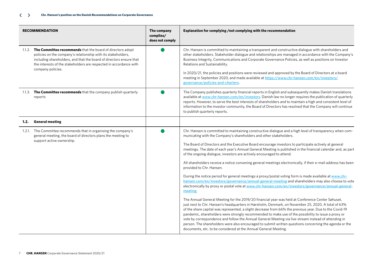| <b>RECOMMENDATION</b>                                                                                                                                                                                                                                                                                | The company<br>complies/<br>does not comply | Explanation for complying /not complying with the recommendation                                                                                                                                                                                                                                                                                                                                                                                                                                                                                                                                                                                                                                                                                                                                                                                                                                                                                                                                                                                                                                                                                                                                                                                                                                                                                                                                                                                                                                                                                                                                                |
|------------------------------------------------------------------------------------------------------------------------------------------------------------------------------------------------------------------------------------------------------------------------------------------------------|---------------------------------------------|-----------------------------------------------------------------------------------------------------------------------------------------------------------------------------------------------------------------------------------------------------------------------------------------------------------------------------------------------------------------------------------------------------------------------------------------------------------------------------------------------------------------------------------------------------------------------------------------------------------------------------------------------------------------------------------------------------------------------------------------------------------------------------------------------------------------------------------------------------------------------------------------------------------------------------------------------------------------------------------------------------------------------------------------------------------------------------------------------------------------------------------------------------------------------------------------------------------------------------------------------------------------------------------------------------------------------------------------------------------------------------------------------------------------------------------------------------------------------------------------------------------------------------------------------------------------------------------------------------------------|
| 1.1.2. The Committee recommends that the board of directors adopt<br>policies on the company's relationship with its stakeholders,<br>including shareholders, and that the board of directors ensure that<br>the interests of the stakeholders are respected in accordance with<br>company policies. |                                             | Chr. Hansen is committed to maintaining a transparent and constructive dialogue with shareholders and<br>other stakeholders. Stakeholder dialogue and relationships are managed in accordance with the Company's<br>Business Integrity, Communications and Corporate Governance Policies, as well as positions on Investor<br>Relations and Sustainability.                                                                                                                                                                                                                                                                                                                                                                                                                                                                                                                                                                                                                                                                                                                                                                                                                                                                                                                                                                                                                                                                                                                                                                                                                                                     |
|                                                                                                                                                                                                                                                                                                      |                                             | In 2020/21, the policies and positions were reviewed and approved by the Board of Directors at a board<br>meeting in September 2020, and made available at https://www.chr-hansen.com/en/investors/<br>governance/policies-and-charters.                                                                                                                                                                                                                                                                                                                                                                                                                                                                                                                                                                                                                                                                                                                                                                                                                                                                                                                                                                                                                                                                                                                                                                                                                                                                                                                                                                        |
| 1.1.3. The Committee recommends that the company publish quarterly<br>reports                                                                                                                                                                                                                        |                                             | The Company publishes quarterly financial reports in English and subsequently makes Danish translations<br>available at www.chr-hansen.com/en/investors. Danish law no longer requires the publication of quarterly<br>reports. However, to serve the best interests of shareholders and to maintain a high and consistent level of<br>information to the investor community, the Board of Directors has resolved that the Company will continue<br>to publish quarterly reports.                                                                                                                                                                                                                                                                                                                                                                                                                                                                                                                                                                                                                                                                                                                                                                                                                                                                                                                                                                                                                                                                                                                               |
| <b>General meeting</b><br>1.2.                                                                                                                                                                                                                                                                       |                                             |                                                                                                                                                                                                                                                                                                                                                                                                                                                                                                                                                                                                                                                                                                                                                                                                                                                                                                                                                                                                                                                                                                                                                                                                                                                                                                                                                                                                                                                                                                                                                                                                                 |
| 1.2.1. The Committee recommends that in organising the company's<br>general meeting, the board of directors plans the meeting to<br>support active ownership.                                                                                                                                        |                                             | Chr. Hansen is committed to maintaining constructive dialogue and a high level of transparency when com-<br>municating with the Company's shareholders and other stakeholders.<br>The Board of Directors and the Executive Board encourage investors to participate actively at general<br>meetings. The date of each year's Annual General Meeting is published in the financial calendar and, as part<br>of the ongoing dialogue, investors are actively encouraged to attend.<br>All shareholders receive a notice convening general meetings electronically, if their e-mail address has been<br>provided to Chr. Hansen.<br>During the notice period for general meetings a proxy/postal voting form is made available at www.chr-<br>hansen.com/en/investors/governance/annual-general-meeting and shareholders may also choose to vote<br>electronically by proxy or postal vote at www.chr-hansen.com/en/investors/governance/annual-general-<br>meeting.<br>The Annual General Meeting for the 2019/20 financial year was held at Conference Center Søhuset,<br>just next to Chr. Hansen's headquarters in Hørsholm, Denmark, on November 25, 2020. A total of 63%<br>of the share capital was represented, a slight decrease from 66% the previous year. Due to the Covid-19<br>pandemic, shareholders were strongly recommended to make use of the possibility to issue a proxy or<br>vote by correspondence and follow the Annual General Meeting via live-stream instead of attending in<br>person. The shareholders were also encouraged to submit written questions concerning the agenda or the |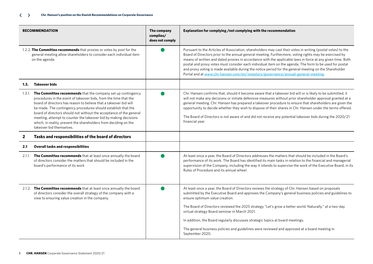| <b>RECOMMENDATION</b>                                                                                                                                                                                                                                                                                                                                                                                                                                                                                                    | The company<br>complies/<br>does not comply | Explanation for complying /not complying with the recommendation                                                                                                                                                                                                                                                                                                                                                                                                                                                                                                                                                                             |
|--------------------------------------------------------------------------------------------------------------------------------------------------------------------------------------------------------------------------------------------------------------------------------------------------------------------------------------------------------------------------------------------------------------------------------------------------------------------------------------------------------------------------|---------------------------------------------|----------------------------------------------------------------------------------------------------------------------------------------------------------------------------------------------------------------------------------------------------------------------------------------------------------------------------------------------------------------------------------------------------------------------------------------------------------------------------------------------------------------------------------------------------------------------------------------------------------------------------------------------|
| 1.2.2. The Committee recommends that proxies or votes by post for the<br>general meeting allow shareholders to consider each individual item<br>on the agenda.                                                                                                                                                                                                                                                                                                                                                           |                                             | Pursuant to the Articles of Association, shareholders may cast their votes in writing (postal votes) to the<br>Board of Directors prior to the annual general meeting. Furthermore, voting rights may be exercised by<br>means of written and dated proxies in accordance with the applicable laws in force at any given time. Both<br>postal and proxy votes must consider each individual item on the agenda. The form to be used for postal<br>and proxy voting is made available during the notice period for the general meeting on the Shareholder<br>Portal and at www.chr-hansen.com/en/investors/governance/annual-general-meeting. |
| <b>Takeover bids</b><br>1.3.                                                                                                                                                                                                                                                                                                                                                                                                                                                                                             |                                             |                                                                                                                                                                                                                                                                                                                                                                                                                                                                                                                                                                                                                                              |
| 1.3.1. The Committee recommends that the company set up contingency<br>procedures in the event of takeover bids, from the time that the<br>board of directors has reason to believe that a takeover bid will<br>be made. The contingency procedures should establish that the<br>board of directors should not without the acceptance of the general<br>meeting, attempt to counter the takeover bid by making decisions<br>which, in reality, prevent the shareholders from deciding on the<br>takeover bid themselves. |                                             | Chr. Hansen confirms that, should it become aware that a takeover bid will or is likely to be submitted, it<br>will not make any decisions or initiate defensive measures without prior shareholder approval granted at a<br>general meeting. Chr. Hansen has prepared a takeover procedure to ensure that shareholders are given the<br>opportunity to decide whether they wish to dispose of their shares in Chr. Hansen under the terms offered.<br>The Board of Directors is not aware of and did not receive any potential takeover bids during the 2020/21<br>financial year.                                                          |
|                                                                                                                                                                                                                                                                                                                                                                                                                                                                                                                          |                                             |                                                                                                                                                                                                                                                                                                                                                                                                                                                                                                                                                                                                                                              |
| Tasks and responsibilities of the board of directors<br>$\overline{2}$                                                                                                                                                                                                                                                                                                                                                                                                                                                   |                                             |                                                                                                                                                                                                                                                                                                                                                                                                                                                                                                                                                                                                                                              |
| <b>Overall tasks and responsibilities</b><br>2.1                                                                                                                                                                                                                                                                                                                                                                                                                                                                         |                                             |                                                                                                                                                                                                                                                                                                                                                                                                                                                                                                                                                                                                                                              |
| 2.1.1. The Committee recommends that at least once annually the board<br>of directors consider the matters that should be included in the<br>board's performance of its work                                                                                                                                                                                                                                                                                                                                             |                                             | At least once a year, the Board of Directors addresses the matters that should be included in the Board's<br>performance of its work. The Board has identified its main tasks in relation to the financial and managerial<br>supervision of the Company, including the way it intends to supervise the work of the Executive Board, in its<br>Rules of Procedure and its annual wheel.                                                                                                                                                                                                                                                       |
| 2.1.2. The Committee recommends that at least once annually the board<br>of directors consider the overall strategy of the company with a<br>view to ensuring value creation in the company.                                                                                                                                                                                                                                                                                                                             |                                             | At least once a year, the Board of Directors reviews the strategy of Chr. Hansen based on proposals<br>submitted by the Executive Board and approves the Company's general business policies and guidelines to<br>ensure optimum value creation.                                                                                                                                                                                                                                                                                                                                                                                             |
|                                                                                                                                                                                                                                                                                                                                                                                                                                                                                                                          |                                             | The Board of Directors reviewed the 2025 strategy "Let's grow a better world. Naturally." at a two-day<br>virtual strategy Board seminar in March 2021.                                                                                                                                                                                                                                                                                                                                                                                                                                                                                      |
|                                                                                                                                                                                                                                                                                                                                                                                                                                                                                                                          |                                             | In addition, the Board regularly discusses strategic topics at board meetings.                                                                                                                                                                                                                                                                                                                                                                                                                                                                                                                                                               |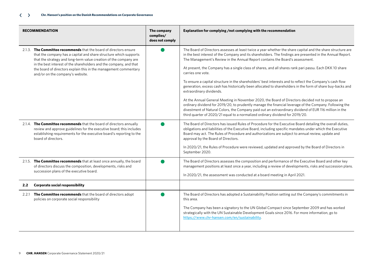|                  | <b>RECOMMENDATION</b>                                                                                                                                                                                                                                                                                                                                                                      | The company<br>complies/<br>does not comply | Explanation for complying /not complying with the recommendation                                                                                                                                                                                                                                                                                                                                                                                                                                                                                                                                                                                                                                                                                                                                                                                                                                                                                                                                                                                                                                           |
|------------------|--------------------------------------------------------------------------------------------------------------------------------------------------------------------------------------------------------------------------------------------------------------------------------------------------------------------------------------------------------------------------------------------|---------------------------------------------|------------------------------------------------------------------------------------------------------------------------------------------------------------------------------------------------------------------------------------------------------------------------------------------------------------------------------------------------------------------------------------------------------------------------------------------------------------------------------------------------------------------------------------------------------------------------------------------------------------------------------------------------------------------------------------------------------------------------------------------------------------------------------------------------------------------------------------------------------------------------------------------------------------------------------------------------------------------------------------------------------------------------------------------------------------------------------------------------------------|
|                  | 2.1.3. The Committee recommends that the board of directors ensure<br>that the company has a capital and share structure which supports<br>that the strategy and long-term value creation of the company are<br>in the best interest of the shareholders and the company, and that<br>the board of directors explain this in the management commentary<br>and/or on the company's website. |                                             | The Board of Directors assesses at least twice a year whether the share capital and the share structure are<br>in the best interest of the Company and its shareholders. The findings are presented in the Annual Report.<br>The Management's Review in the Annual Report contains the Board's assessment.<br>At present, the Company has a single class of shares, and all shares rank pari passu. Each DKK 10 share<br>carries one vote.<br>To ensure a capital structure in the shareholders' best interests and to reflect the Company's cash flow<br>generation, excess cash has historically been allocated to shareholders in the form of share buy-backs and<br>extraordinary dividends.<br>At the Annual General Meeting in November 2020, the Board of Directors decided not to propose an<br>ordinary dividend for 2019/20, to prudently manage the financial leverage of the Company. Following the<br>divestment of Natural Colors, the Company paid out an extraordinary dividend of EUR 116 million in the<br>third quarter of 2020/21 equal to a normalized ordinary dividend for 2019/20. |
|                  | 2.1.4. The Committee recommends that the board of directors annually<br>review and approve guidelines for the executive board; this includes<br>establishing requirements for the executive board's reporting to the<br>board of directors.                                                                                                                                                |                                             | The Board of Directors has issued Rules of Procedure for the Executive Board detailing the overall duties,<br>obligations and liabilities of the Executive Board, including specific mandates under which the Executive<br>Board may act. The Rules of Procedure and authorizations are subject to annual review, update and<br>approval by the Board of Directors.<br>In 2020/21, the Rules of Procedure were reviewed, updated and approved by the Board of Directors in<br>September 2020.                                                                                                                                                                                                                                                                                                                                                                                                                                                                                                                                                                                                              |
|                  | 2.1.5. The Committee recommends that at least once annually, the board<br>of directors discuss the composition, developments, risks and<br>succession plans of the executive board.                                                                                                                                                                                                        |                                             | The Board of Directors assesses the composition and performance of the Executive Board and other key<br>management positions at least once a year, including a review of developments, risks and succession plans.<br>In 2020/21, the assessment was conducted at a board meeting in April 2021.                                                                                                                                                                                                                                                                                                                                                                                                                                                                                                                                                                                                                                                                                                                                                                                                           |
| 2.2 <sub>2</sub> | <b>Corporate social responsibility</b>                                                                                                                                                                                                                                                                                                                                                     |                                             |                                                                                                                                                                                                                                                                                                                                                                                                                                                                                                                                                                                                                                                                                                                                                                                                                                                                                                                                                                                                                                                                                                            |
|                  | 2.2.1 The Committee recommends that the board of directors adopt<br>policies on corporate social responsibility                                                                                                                                                                                                                                                                            |                                             | The Board of Directors has adopted a Sustainability Position setting out the Company's commitments in<br>this area.<br>The Company has been a signatory to the UN Global Compact since September 2009 and has worked<br>strategically with the UN Sustainable Development Goals since 2016. For more information, go to<br>https://www.chr-hansen.com/en/sustainability.                                                                                                                                                                                                                                                                                                                                                                                                                                                                                                                                                                                                                                                                                                                                   |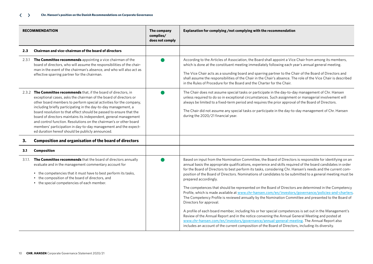|     | <b>RECOMMENDATION</b>                                                                                                                                                                                                                                                                                                                                                                                                                                                                                                                                                                                                    | The company<br>complies/<br>does not comply | Explanation for complying /not complying with the recommendation                                                                                                                                                                                                                                                                                                                                                                                                                                                                                                                                                                                                                                                                                                                                                                                                                                                                                                                                                                                                                                                                                                                                                                                       |
|-----|--------------------------------------------------------------------------------------------------------------------------------------------------------------------------------------------------------------------------------------------------------------------------------------------------------------------------------------------------------------------------------------------------------------------------------------------------------------------------------------------------------------------------------------------------------------------------------------------------------------------------|---------------------------------------------|--------------------------------------------------------------------------------------------------------------------------------------------------------------------------------------------------------------------------------------------------------------------------------------------------------------------------------------------------------------------------------------------------------------------------------------------------------------------------------------------------------------------------------------------------------------------------------------------------------------------------------------------------------------------------------------------------------------------------------------------------------------------------------------------------------------------------------------------------------------------------------------------------------------------------------------------------------------------------------------------------------------------------------------------------------------------------------------------------------------------------------------------------------------------------------------------------------------------------------------------------------|
| 2.3 | Chairman and vice-chairman of the board of directors                                                                                                                                                                                                                                                                                                                                                                                                                                                                                                                                                                     |                                             |                                                                                                                                                                                                                                                                                                                                                                                                                                                                                                                                                                                                                                                                                                                                                                                                                                                                                                                                                                                                                                                                                                                                                                                                                                                        |
|     | 2.3.1 The Committee recommends appointing a vice chairman of the<br>board of directors, who will assume the responsibilities of the chair-<br>man in the event of the chairman's absence, and who will also act as<br>effective sparring partner for the chairman.                                                                                                                                                                                                                                                                                                                                                       |                                             | According to the Articles of Association, the Board shall appoint a Vice Chair from among its members,<br>which is done at the constituent meeting immediately following each year's annual general meeting.<br>The Vice Chair acts as a sounding board and sparring partner to the Chair of the Board of Directors and<br>shall assume the responsibilities of the Chair in the Chair's absence. The role of the Vice Chair is described<br>in the Rules of Procedure for the Board and the Charter for the Chair.                                                                                                                                                                                                                                                                                                                                                                                                                                                                                                                                                                                                                                                                                                                                    |
|     | 2.3.2 The Committee recommends that, if the board of directors, in<br>exceptional cases, asks the chairman of the board of directors or<br>other board members to perform special activities for the company,<br>including briefly participating in the day-to-day management, a<br>board resolution to that effect should be passed to ensure that the<br>board of directors maintains its independent, general management<br>and control function. Resolutions on the chairman's or other board<br>members' participation in day-to-day management and the expect-<br>ed duration hereof should be publicly announced. |                                             | The Chair does not assume special tasks or participate in the day-to-day management of Chr. Hansen<br>unless required to do so in exceptional circumstances. Such assignment or managerial involvement will<br>always be limited to a fixed-term period and requires the prior approval of the Board of Directors.<br>The Chair did not assume any special tasks or participate in the day-to-day management of Chr. Hansen<br>during the 2020/21 financial year.                                                                                                                                                                                                                                                                                                                                                                                                                                                                                                                                                                                                                                                                                                                                                                                      |
| 3.  | <b>Composition and organisation of the board of directors</b>                                                                                                                                                                                                                                                                                                                                                                                                                                                                                                                                                            |                                             |                                                                                                                                                                                                                                                                                                                                                                                                                                                                                                                                                                                                                                                                                                                                                                                                                                                                                                                                                                                                                                                                                                                                                                                                                                                        |
| 3.1 | <b>Composition</b>                                                                                                                                                                                                                                                                                                                                                                                                                                                                                                                                                                                                       |                                             |                                                                                                                                                                                                                                                                                                                                                                                                                                                                                                                                                                                                                                                                                                                                                                                                                                                                                                                                                                                                                                                                                                                                                                                                                                                        |
|     | 3.1.1. The Committee recommends that the board of directors annually<br>evaluate and in the management commentary account for<br>• the competencies that it must have to best perform its tasks,<br>• the composition of the board of directors, and<br>• the special competencies of each member.                                                                                                                                                                                                                                                                                                                       |                                             | Based on input from the Nomination Committee, the Board of Directors is responsible for identifying on an<br>annual basis the appropriate qualifications, experience and skills required of the board candidates in order<br>for the Board of Directors to best perform its tasks, considering Chr. Hansen's needs and the current com-<br>position of the Board of Directors. Nominations of candidates to be submitted to a general meeting must be<br>prepared accordingly.<br>The competences that should be represented on the Board of Directors are determined in the Competency<br>Profile, which is made available at www.chr-hansen.com/en/investors/governance/policies-and-charters.<br>The Competency Profile is reviewed annually by the Nomination Committee and presented to the Board of<br>Directors for approval.<br>A profile of each board member, including his or her special competences is set out in the Management's<br>Review of the Annual Report and in the notice convening the Annual General Meeting and posted at<br>www.chr-hansen.com/en/investors/governance/annual-general-meeting. The Annual Report also<br>includes an account of the current composition of the Board of Directors, including its diversity. |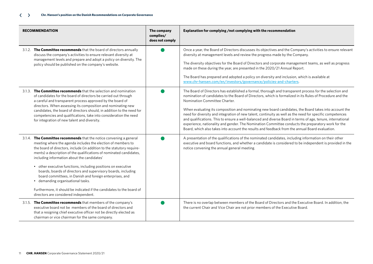| <b>RECOMMENDATION</b>                                                                                                                                                                                                                                                                                                                                                                                                                                                                                                                                                                                                                                                                    | The company<br>complies/<br>does not comply | Explanation for complying /not complying with the recommendation                                                                                                                                                                                                                                                                                                                                                                                                                                                                                                                                                                                                                                                                                                                                    |
|------------------------------------------------------------------------------------------------------------------------------------------------------------------------------------------------------------------------------------------------------------------------------------------------------------------------------------------------------------------------------------------------------------------------------------------------------------------------------------------------------------------------------------------------------------------------------------------------------------------------------------------------------------------------------------------|---------------------------------------------|-----------------------------------------------------------------------------------------------------------------------------------------------------------------------------------------------------------------------------------------------------------------------------------------------------------------------------------------------------------------------------------------------------------------------------------------------------------------------------------------------------------------------------------------------------------------------------------------------------------------------------------------------------------------------------------------------------------------------------------------------------------------------------------------------------|
| 3.1.2. The Committee recommends that the board of directors annually<br>discuss the company's activities to ensure relevant diversity at<br>management levels and prepare and adopt a policy on diversity. The<br>policy should be published on the company's website.                                                                                                                                                                                                                                                                                                                                                                                                                   |                                             | Once a year, the Board of Directors discusses its objectives and the Company's activities to ensure relevant<br>diversity at management levels and review the progress made by the Company.<br>The diversity objectives for the Board of Directors and corporate management teams, as well as progress<br>made on these during the year, are presented in the 2020/21 Annual Report.<br>The Board has prepared and adopted a policy on diversity and inclusion, which is available at<br>www.chr-hansen.com/en/investors/governance/policies-and-charters.                                                                                                                                                                                                                                          |
| 3.1.3. The Committee recommends that the selection and nomination<br>of candidates for the board of directors be carried out through<br>a careful and transparent process approved by the board of<br>directors. When assessing its composition and nominating new<br>candidates, the board of directors should, in addition to the need for<br>competencies and qualifications, take into consideration the need<br>for integration of new talent and diversity.                                                                                                                                                                                                                        |                                             | The Board of Directors has established a formal, thorough and transparent process for the selection and<br>nomination of candidates to the Board of Directors, which is formalized in its Rules of Procedure and the<br>Nomination Committee Charter.<br>When evaluating its composition and nominating new board candidates, the Board takes into account the<br>need for diversity and integration of new talent, continuity as well as the need for specific competences<br>and qualifications. This to ensure a well-balanced and diverse Board in terms of age, tenure, international<br>experience, nationality and gender. The Nomination Committee conducts the preparatory work for the<br>Board, which also takes into account the results and feedback from the annual Board evaluation. |
| 3.1.4. The Committee recommends that the notice convening a general<br>meeting where the agenda includes the election of members to<br>the board of directors, include (in addition to the statutory require-<br>ments) a description of the qualifications of nominated candidates,<br>including information about the candidates'<br>• other executive functions, including positions on executive<br>boards, boards of directors and supervisory boards, including<br>board committees, in Danish and foreign enterprises, and<br>· demanding organisational tasks.<br>Furthermore, it should be indicated if the candidates to the board of<br>directors are considered independent. |                                             | A presentation of the qualifications of the nominated candidates, including information on their other<br>executive and board functions, and whether a candidate is considered to be independent is provided in the<br>notice convening the annual general meeting.                                                                                                                                                                                                                                                                                                                                                                                                                                                                                                                                 |
| 3.1.5. The Committee recommends that members of the company's<br>executive board not be members of the board of directors and<br>that a resigning chief executive officer not be directly elected as<br>chairman or vice chairman for the same company.                                                                                                                                                                                                                                                                                                                                                                                                                                  |                                             | There is no overlap between members of the Board of Directors and the Executive Board. In addition, the<br>the current Chair and Vice Chair are not prior members of the Executive Board.                                                                                                                                                                                                                                                                                                                                                                                                                                                                                                                                                                                                           |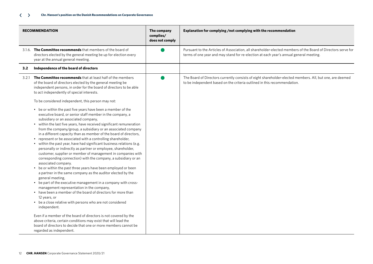#### **Chr. Hansen's position on the Danish Recommendations on Corporate Governance**  $\langle \rangle$

|       | <b>RECOMMENDATION</b>                                                                                                                                                                                                                                                                                                                                                                                                                                                                                                                                                                                                                                                                                                                                                                                                                                                                                                                                                                                                                                                                                                                                                                                                                                                                                                                                                                                                                                                                                                                                                                                                                                                                                                         | The company<br>complies/<br>does not comply | Explanation for complying /not complying with the recommendation                                                                                                                                       |
|-------|-------------------------------------------------------------------------------------------------------------------------------------------------------------------------------------------------------------------------------------------------------------------------------------------------------------------------------------------------------------------------------------------------------------------------------------------------------------------------------------------------------------------------------------------------------------------------------------------------------------------------------------------------------------------------------------------------------------------------------------------------------------------------------------------------------------------------------------------------------------------------------------------------------------------------------------------------------------------------------------------------------------------------------------------------------------------------------------------------------------------------------------------------------------------------------------------------------------------------------------------------------------------------------------------------------------------------------------------------------------------------------------------------------------------------------------------------------------------------------------------------------------------------------------------------------------------------------------------------------------------------------------------------------------------------------------------------------------------------------|---------------------------------------------|--------------------------------------------------------------------------------------------------------------------------------------------------------------------------------------------------------|
|       | 3.1.6. The Committee recommends that members of the board of<br>directors elected by the general meeting be up for election every<br>year at the annual general meeting.                                                                                                                                                                                                                                                                                                                                                                                                                                                                                                                                                                                                                                                                                                                                                                                                                                                                                                                                                                                                                                                                                                                                                                                                                                                                                                                                                                                                                                                                                                                                                      |                                             | Pursuant to the Articles of Association, all shareholder-elected members of the Board of Directors serve for<br>terms of one year and may stand for re-election at each year's annual general meeting. |
| 3.2   | Independence of the board of directors                                                                                                                                                                                                                                                                                                                                                                                                                                                                                                                                                                                                                                                                                                                                                                                                                                                                                                                                                                                                                                                                                                                                                                                                                                                                                                                                                                                                                                                                                                                                                                                                                                                                                        |                                             |                                                                                                                                                                                                        |
| 3.2.1 | The Committee recommends that at least half of the members<br>of the board of directors elected by the general meeting be<br>independent persons, in order for the board of directors to be able<br>to act independently of special interests.<br>To be considered independent, this person may not:<br>• be or within the past five years have been a member of the<br>executive board, or senior staff member in the company, a<br>subsidiary or an associated company,<br>• within the last five years, have received significant remuneration<br>from the company/group, a subsidiary or an associated company<br>in a different capacity than as member of the board of directors,<br>represent or be associated with a controlling shareholder,<br>• within the past year, have had significant business relations (e.g.<br>personally or indirectly as partner or employee, shareholder,<br>customer, supplier or member of management in companies with<br>corresponding connection) with the company, a subsidiary or an<br>associated company.<br>be or within the past three years have been employed or been<br>a partner in the same company as the auditor elected by the<br>general meeting,<br>• be part of the executive management in a company with cross-<br>management representation in the company,<br>• have been a member of the board of directors for more than<br>12 years, or<br>• be a close relative with persons who are not considered<br>independent.<br>Even if a member of the board of directors is not covered by the<br>above criteria, certain conditions may exist that will lead the<br>board of directors to decide that one or more members cannot be<br>regarded as independent. |                                             | The Board of Directors currently consists of eight shareholder-elected members. All, but one, are deemed<br>to be independent based on the criteria outlined in this recommendation.                   |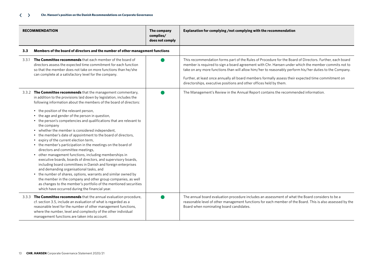|     | <b>RECOMMENDATION</b>                                                                                                                                                                                                                                                                                                                                                                                                                                                                                                                                                                                                                                                                                                                                                                                                                                                                                                                                                                                                                                                                                                                                     | The company<br>complies/<br>does not comply | Explanation for complying /not complying with the recommendation                                                                                                                                                                                                                                                                                                                                                                                                                                        |
|-----|-----------------------------------------------------------------------------------------------------------------------------------------------------------------------------------------------------------------------------------------------------------------------------------------------------------------------------------------------------------------------------------------------------------------------------------------------------------------------------------------------------------------------------------------------------------------------------------------------------------------------------------------------------------------------------------------------------------------------------------------------------------------------------------------------------------------------------------------------------------------------------------------------------------------------------------------------------------------------------------------------------------------------------------------------------------------------------------------------------------------------------------------------------------|---------------------------------------------|---------------------------------------------------------------------------------------------------------------------------------------------------------------------------------------------------------------------------------------------------------------------------------------------------------------------------------------------------------------------------------------------------------------------------------------------------------------------------------------------------------|
| 3.3 | Members of the board of directors and the number of other management functions                                                                                                                                                                                                                                                                                                                                                                                                                                                                                                                                                                                                                                                                                                                                                                                                                                                                                                                                                                                                                                                                            |                                             |                                                                                                                                                                                                                                                                                                                                                                                                                                                                                                         |
|     | 3.3.1 The Committee recommends that each member of the board of<br>directors assess the expected time commitment for each function<br>so that the member does not take on more functions than he/she<br>can complete at a satisfactory level for the company.                                                                                                                                                                                                                                                                                                                                                                                                                                                                                                                                                                                                                                                                                                                                                                                                                                                                                             |                                             | This recommendation forms part of the Rules of Procedure for the Board of Directors. Further, each board<br>member is required to sign a board agreement with Chr. Hansen under which the member commits not to<br>take on any more functions than will allow him/her to reasonably perform his/her duties to the Company.<br>Further, at least once annually all board members formally assess their expected time commitment on<br>directorships, executive positions and other offices held by them. |
|     | 3.3.2 The Committee recommends that the management commentary,<br>in addition to the provisions laid down by legislation, includes the<br>following information about the members of the board of directors:<br>• the position of the relevant person,<br>• the age and gender of the person in question,<br>• the person's competencies and qualifications that are relevant to<br>the company<br>whether the member is considered independent,<br>the member's date of appointment to the board of directors,<br>expiry of the current election term,<br>• the member's participation in the meetings on the board of<br>directors and committee meetings,<br>other management functions, including memberships in<br>executive boards, boards of directors, and supervisory boards,<br>including board committees in Danish and foreign enterprises<br>and demanding organisational tasks, and<br>• the number of shares, options, warrants and similar owned by<br>the member in the company and other group companies, as well<br>as changes to the member's portfolio of the mentioned securities<br>which have occurred during the financial year. |                                             | The Management's Review in the Annual Report contains the recommended information.                                                                                                                                                                                                                                                                                                                                                                                                                      |
|     | 3.3.3 The Committee recommends that the annual evaluation procedure,<br>cf. section 3.5, include an evaluation of what is regarded as a<br>reasonable level for the number of other management functions,<br>where the number, level and complexity of the other individual<br>management functions are taken into account.                                                                                                                                                                                                                                                                                                                                                                                                                                                                                                                                                                                                                                                                                                                                                                                                                               |                                             | The annual board evaluation procedure includes an assessment of what the Board considers to be a<br>reasonable level of other management functions for each member of the Board. This is also assessed by the<br>Board when nominating board candidates.                                                                                                                                                                                                                                                |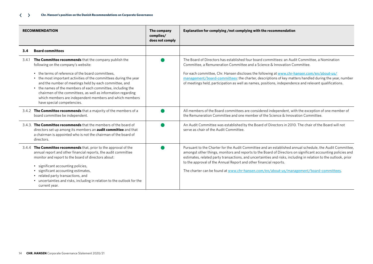| <b>RECOMMENDATION</b>                                                                                                                                                                                                                                                                                                                                                                                                                                                                                          | The company<br>complies/<br>does not comply | Explanation for complying /not complying with the recommendation                                                                                                                                                                                                                                                                                                                                                                                                                                           |
|----------------------------------------------------------------------------------------------------------------------------------------------------------------------------------------------------------------------------------------------------------------------------------------------------------------------------------------------------------------------------------------------------------------------------------------------------------------------------------------------------------------|---------------------------------------------|------------------------------------------------------------------------------------------------------------------------------------------------------------------------------------------------------------------------------------------------------------------------------------------------------------------------------------------------------------------------------------------------------------------------------------------------------------------------------------------------------------|
| <b>Board committees</b><br>3.4                                                                                                                                                                                                                                                                                                                                                                                                                                                                                 |                                             |                                                                                                                                                                                                                                                                                                                                                                                                                                                                                                            |
| 3.4.1 The Committee recommends that the company publish the<br>following on the company's website:<br>• the terms of reference of the board committees,<br>• the most important activities of the committees during the year<br>and the number of meetings held by each committee, and<br>• the names of the members of each committee, including the<br>chairmen of the committees, as well as information regarding<br>which members are independent members and which members<br>have special competencies. |                                             | The Board of Directors has established four board committees: an Audit Committee, a Nomination<br>Committee, a Remuneration Committee and a Science & Innovation Committee.<br>For each committee, Chr. Hansen discloses the following at www.chr-hansen.com/en/about-us/<br>management/board-committees: the charter, descriptions of key matters handled during the year, number<br>of meetings held, participation as well as names, positions, independence and relevant qualifications.               |
| 3.4.2 The Committee recommends that a majority of the members of a<br>board committee be independent.                                                                                                                                                                                                                                                                                                                                                                                                          |                                             | All members of the Board committees are considered independent, with the exception of one member of<br>the Remuneration Committee and one member of the Science & Innovation Committee.                                                                                                                                                                                                                                                                                                                    |
| 3.4.3. The Committee recommends that the members of the board of<br>directors set up among its members an <b>audit committee</b> and that<br>a chairman is appointed who is not the chairman of the board of<br>directors.                                                                                                                                                                                                                                                                                     |                                             | An Audit Committee was established by the Board of Directors in 2010. The chair of the Board will not<br>serve as chair of the Audit Committee.                                                                                                                                                                                                                                                                                                                                                            |
| 3.4.4 The Committee recommends that, prior to the approval of the<br>annual report and other financial reports, the audit committee<br>monitor and report to the board of directors about:<br>significant accounting policies,<br>$\bullet$<br>significant accounting estimates,<br>related party transactions, and<br>uncertainties and risks, including in relation to the outlook for the<br>current year.                                                                                                  |                                             | Pursuant to the Charter for the Audit Committee and an established annual schedule, the Audit Committee,<br>amongst other things, monitors and reports to the Board of Directors on significant accounting policies and<br>estimates, related party transactions, and uncertainties and risks, including in relation to the outlook, prior<br>to the approval of the Annual Report and other financial reports.<br>The charter can be found at www.chr-hansen.com/en/about-us/management/board-committees. |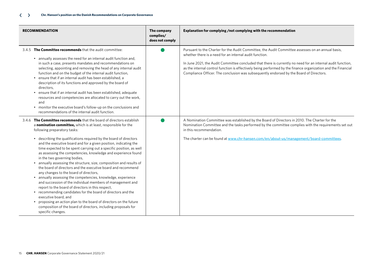| <b>RECOMMENDATION</b>                                                                                                                                                                                                                                                                                                                                                                                                                                                                                                                                                                                                                                                                                                                                                                                                                                                                                                                                                                                                                                                                                          | The company<br>complies/<br>does not comply | Explanation for complying /not complying with the recommendation                                                                                                                                                                                                                                                                                                                                                                                                                        |
|----------------------------------------------------------------------------------------------------------------------------------------------------------------------------------------------------------------------------------------------------------------------------------------------------------------------------------------------------------------------------------------------------------------------------------------------------------------------------------------------------------------------------------------------------------------------------------------------------------------------------------------------------------------------------------------------------------------------------------------------------------------------------------------------------------------------------------------------------------------------------------------------------------------------------------------------------------------------------------------------------------------------------------------------------------------------------------------------------------------|---------------------------------------------|-----------------------------------------------------------------------------------------------------------------------------------------------------------------------------------------------------------------------------------------------------------------------------------------------------------------------------------------------------------------------------------------------------------------------------------------------------------------------------------------|
| 3.4.5 The Committee recommends that the audit committee:<br>• annually assesses the need for an internal audit function and,<br>in such a case, presents mandates and recommendations on<br>selecting, appointing and removing the head of any internal audit<br>function and on the budget of the internal audit function,<br>ensure that if an internal audit has been established, a<br>description of its functions and approved by the board of<br>directors,<br>• ensure that if an internal audit has been established, adequate<br>resources and competencies are allocated to carry out the work,<br>and<br>• monitor the executive board's follow-up on the conclusions and<br>recommendations of the internal audit function.                                                                                                                                                                                                                                                                                                                                                                       |                                             | Pursuant to the Charter for the Audit Committee, the Audit Committee assesses on an annual basis,<br>whether there is a need for an internal audit function.<br>In June 2021, the Audit Committee concluded that there is currently no need for an internal audit function,<br>as the internal control function is effectively being performed by the finance organization and the Financial<br>Compliance Officer. The conclusion was subsequently endorsed by the Board of Directors. |
| 3.4.6 The Committee recommends that the board of directors establish<br>a nomination committee, which is at least, responsible for the<br>following preparatory tasks:<br>• describing the qualifications required by the board of directors<br>and the executive board and for a given position, indicating the<br>time expected to be spent carrying out a specific position, as well<br>as assessing the competencies, knowledge and experience found<br>in the two governing bodies,<br>annually assessing the structure, size, composition and results of<br>the board of directors and the executive board and recommend<br>any changes to the board of directors,<br>• annually assessing the competencies, knowledge, experience<br>and succession of the individual members of management and<br>report to the board of directors in this respect,<br>• recommending candidates for the board of directors and the<br>executive board, and<br>proposing an action plan to the board of directors on the future<br>composition of the board of directors, including proposals for<br>specific changes. |                                             | A Nomination Committee was established by the Board of Directors in 2010. The Charter for the<br>Nomination Committee and the tasks performed by the committee complies with the requirements set out<br>in this recommendation.<br>The charter can be found at www.chr-hansen.com/en/about-us/management/board-committees.                                                                                                                                                             |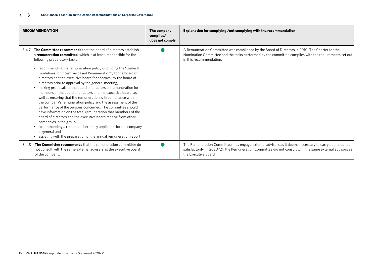| <b>RECOMMENDATION</b>                                                                                                                                                                                                                                                                                                                                                                                                                                                                                                                                                                                                                                                                                                                                                                                                                                                                                                                                                                                                        | The company<br>complies/<br>does not comply | Explanation for complying /not complying with the recommendation                                                                                                                                                                           |
|------------------------------------------------------------------------------------------------------------------------------------------------------------------------------------------------------------------------------------------------------------------------------------------------------------------------------------------------------------------------------------------------------------------------------------------------------------------------------------------------------------------------------------------------------------------------------------------------------------------------------------------------------------------------------------------------------------------------------------------------------------------------------------------------------------------------------------------------------------------------------------------------------------------------------------------------------------------------------------------------------------------------------|---------------------------------------------|--------------------------------------------------------------------------------------------------------------------------------------------------------------------------------------------------------------------------------------------|
| The Committee recommends that the board of directors establish<br>3.4.7<br>a remuneration committee, which is at least, responsible for the<br>following preparatory tasks:<br>• recommending the remuneration policy (including the "General<br>Guidelines for incentive-based Remuneration") to the board of<br>directors and the executive board for approval by the board of<br>directors prior to approval by the general meeting,<br>• making proposals to the board of directors on remuneration for<br>members of the board of directors and the executive board, as<br>well as ensuring that the remuneration is in compliance with<br>the company's remuneration policy and the assessment of the<br>performance of the persons concerned. The committee should<br>have information on the total remuneration that members of the<br>board of directors and the executive board receive from other<br>companies in the group,<br>• recommending a remuneration policy applicable for the company<br>in general and |                                             | A Remuneration Committee was established by the Board of Directors in 2010. The Charter for the<br>Nomination Committee and the tasks performed by the committee complies with the requirements set out<br>in this recommendation.         |
| • assisting with the preparation of the annual remuneration report.<br>The Committee recommends that the remuneration committee do<br>3.4.8<br>not consult with the same external advisers as the executive board<br>of the company.                                                                                                                                                                                                                                                                                                                                                                                                                                                                                                                                                                                                                                                                                                                                                                                         |                                             | The Remuneration Committee may engage external advisors as it deems necessary to carry out its duties<br>satisfactorily. In 2020/21, the Remuneration Committee did not consult with the same external advisors as<br>the Executive Board. |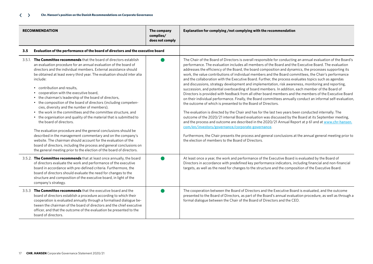| <b>RECOMMENDATION</b>                                                                                                                                                                                                                                                                                                                                                                                                                                                                                                                                                                                                                                                                                                                                                                                                                                                                                                                                                                                                                                                           | The company<br>complies/<br>does not comply | Explanation for complying /not complying with the recommendation                                                                                                                                                                                                                                                                                                                                                                                                                                                                                                                                                                                                                                                                                                                                                                                                                                                                                                                                                                                                                                                                                                                                                                                                                                                                                                                                                                                                                                                                                                                                               |
|---------------------------------------------------------------------------------------------------------------------------------------------------------------------------------------------------------------------------------------------------------------------------------------------------------------------------------------------------------------------------------------------------------------------------------------------------------------------------------------------------------------------------------------------------------------------------------------------------------------------------------------------------------------------------------------------------------------------------------------------------------------------------------------------------------------------------------------------------------------------------------------------------------------------------------------------------------------------------------------------------------------------------------------------------------------------------------|---------------------------------------------|----------------------------------------------------------------------------------------------------------------------------------------------------------------------------------------------------------------------------------------------------------------------------------------------------------------------------------------------------------------------------------------------------------------------------------------------------------------------------------------------------------------------------------------------------------------------------------------------------------------------------------------------------------------------------------------------------------------------------------------------------------------------------------------------------------------------------------------------------------------------------------------------------------------------------------------------------------------------------------------------------------------------------------------------------------------------------------------------------------------------------------------------------------------------------------------------------------------------------------------------------------------------------------------------------------------------------------------------------------------------------------------------------------------------------------------------------------------------------------------------------------------------------------------------------------------------------------------------------------------|
| Evaluation of the performance of the board of directors and the executive board<br>3.5                                                                                                                                                                                                                                                                                                                                                                                                                                                                                                                                                                                                                                                                                                                                                                                                                                                                                                                                                                                          |                                             |                                                                                                                                                                                                                                                                                                                                                                                                                                                                                                                                                                                                                                                                                                                                                                                                                                                                                                                                                                                                                                                                                                                                                                                                                                                                                                                                                                                                                                                                                                                                                                                                                |
| 3.5.1. The Committee recommends that the board of directors establish<br>an evaluation procedure for an annual evaluation of the board of<br>directors and the individual members. External assistance should<br>be obtained at least every third year. The evaluation should inter alia<br>include:<br>• contribution and results.<br>cooperation with the executive board,<br>• the chairman's leadership of the board of directors,<br>• the composition of the board of directors (including competen-<br>cies, diversity and the number of members),<br>• the work in the committees and the committee structure, and<br>• the organisation and quality of the material that is submitted to<br>the board of directors.<br>The evaluation procedure and the general conclusions should be<br>described in the management commentary and on the company's<br>website. The chairman should account for the evaluation of the<br>board of directors, including the process and general conclusions on<br>the general meeting prior to the election of the board of directors. |                                             | The Chair of the Board of Directors is overall responsible for conducting an annual evaluation of the Board's<br>performance. The evaluation includes all members of the Board and the Executive Board. The evaluation<br>addresses the efficiency of the Board, the board composition and dynamics, the processes supporting its<br>work, the value contributions of individual members and the Board committees, the Chair's performance<br>and the collaboration with the Executive Board. Further, the process evaluates topics such as agendas<br>and discussions, strategy development and implementation, risk awareness, monitoring and reporting,<br>succession, and potential overboarding of board members. In addition, each member of the Board of<br>Directors is provided with feedback from all other board members and the members of the Executive Board<br>on their individual performance. Finally, the Board committees annually conduct an informal self-evaluation,<br>the outcome of which is presented to the Board of Directors.<br>The evaluation is directed by the Chair and has for the last two years been conducted internally. The<br>outcome of the 2020/21 internal Board evaluation was discussed by the Board at its September meeting,<br>and the process and outcome are described in the 2020/21 Annual Report at p 61 and at www.chr-hansen.<br>com/en/investors/governance/corporate-governance.<br>Furthermore, the Chair presents the process and general conclusions at the annual general meeting prior to<br>the election of members to the Board of Directors. |
| 3.5.2. The Committee recommends that at least once annually, the board<br>of directors evaluate the work and performance of the executive<br>board in accordance with pre-defined criteria. Furthermore, the<br>board of directors should evaluate the need for changes to the<br>structure and composition of the executive board, in light of the<br>company's strategy.                                                                                                                                                                                                                                                                                                                                                                                                                                                                                                                                                                                                                                                                                                      |                                             | At least once a year, the work and performance of the Executive Board is evaluated by the Board of<br>Directors in accordance with predefined key performance indicators, including financial and non-financial<br>targets, as well as the need for changes to the structure and the composition of the Executive Board.                                                                                                                                                                                                                                                                                                                                                                                                                                                                                                                                                                                                                                                                                                                                                                                                                                                                                                                                                                                                                                                                                                                                                                                                                                                                                       |
| 3.5.3 The Committee recommends that the executive board and the<br>board of directors establish a procedure according to which their<br>cooperation is evaluated annually through a formalised dialogue be-<br>tween the chairman of the board of directors and the chief executive<br>officer, and that the outcome of the evaluation be presented to the<br>board of directors.                                                                                                                                                                                                                                                                                                                                                                                                                                                                                                                                                                                                                                                                                               |                                             | The cooperation between the Board of Directors and the Executive Board is evaluated, and the outcome<br>presented to the Board of Directors, as part of the Board's annual evaluation procedure, as well as through a<br>formal dialogue between the Chair of the Board of Directors and the CEO.                                                                                                                                                                                                                                                                                                                                                                                                                                                                                                                                                                                                                                                                                                                                                                                                                                                                                                                                                                                                                                                                                                                                                                                                                                                                                                              |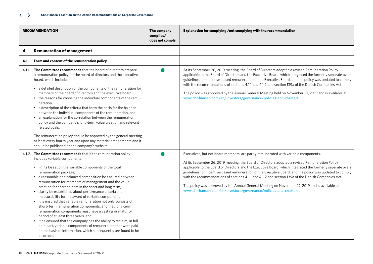|      | <b>RECOMMENDATION</b>                                                                                                                                                                                                                                                                                                                                                                                                                                                                                                                                                                                                                                                                                                                                                                                                                                                                                                                           | The company<br>complies/<br>does not comply | Explanation for complying /not complying with the recommendation                                                                                                                                                                                                                                                                                                                                                                                                                                                                                                                                                                                                                                |
|------|-------------------------------------------------------------------------------------------------------------------------------------------------------------------------------------------------------------------------------------------------------------------------------------------------------------------------------------------------------------------------------------------------------------------------------------------------------------------------------------------------------------------------------------------------------------------------------------------------------------------------------------------------------------------------------------------------------------------------------------------------------------------------------------------------------------------------------------------------------------------------------------------------------------------------------------------------|---------------------------------------------|-------------------------------------------------------------------------------------------------------------------------------------------------------------------------------------------------------------------------------------------------------------------------------------------------------------------------------------------------------------------------------------------------------------------------------------------------------------------------------------------------------------------------------------------------------------------------------------------------------------------------------------------------------------------------------------------------|
| 4.   | <b>Remuneration of management</b>                                                                                                                                                                                                                                                                                                                                                                                                                                                                                                                                                                                                                                                                                                                                                                                                                                                                                                               |                                             |                                                                                                                                                                                                                                                                                                                                                                                                                                                                                                                                                                                                                                                                                                 |
| 4.1. | Form and content of the remuneration policy                                                                                                                                                                                                                                                                                                                                                                                                                                                                                                                                                                                                                                                                                                                                                                                                                                                                                                     |                                             |                                                                                                                                                                                                                                                                                                                                                                                                                                                                                                                                                                                                                                                                                                 |
|      | 4.1.1. The Committee recommends that the board of directors prepare<br>a remuneration policy for the board of directors and the executive<br>board, which includes:<br>• a detailed description of the components of the remuneration for<br>members of the board of directors and the executive board,<br>• the reasons for choosing the individual components of the remu-<br>neration.<br>• a description of the criteria that form the basis for the balance<br>between the individual components of the remuneration, and<br>• an explanation for the correlation between the remuneration<br>policy and the company's long-term value creation and relevant<br>related goals.<br>The remuneration policy should be approved by the general meeting<br>at least every fourth year and upon any material amendments and it<br>should be published on the company's website.                                                                 |                                             | At its September 26, 2019 meeting, the Board of Directors adopted a revised Remuneration Policy<br>applicable to the Board of Directors and the Executive Board, which integrated the formerly separate overall<br>guidelines for incentive-based remuneration of the Executive Board, and the policy was updated to comply<br>with the recommendations of sections 4.1.1 and 4.1.2 and section 139a of the Danish Companies Act.<br>The policy was approved by the Annual General Meeting held on November 27, 2019 and is available at<br>www.chr-hansen.com/en/investors/governance/policies-and-charters.                                                                                   |
|      | 4.1.2. The Committee recommends that if the remuneration policy<br>includes variable components:<br>• limits be set on the variable components of the total<br>remuneration package,<br>• a reasonable and balanced composition be ensured between<br>remuneration for members of management and the value<br>creation for shareholders in the short and long term,<br>• clarity be established about performance criteria and<br>measurability for the award of variable components,<br>• it is ensured that variable remuneration not only consists of<br>short-term remuneration components, and that long-term<br>remuneration components must have a vesting or maturity<br>period of at least three years, and<br>• it be ensured that the company has the ability to reclaim, in full<br>or in part, variable components of remuneration that were paid<br>on the basis of information, which subsequently are found to be<br>incorrect. |                                             | Executives, but not board members, are partly remunerated with variable components.<br>At its September 26, 2019 meeting, the Board of Directors adopted a revised Remuneration Policy<br>applicable to the Board of Directors and the Executive Board, which integrated the formerly separate overall<br>guidelines for incentive-based remuneration of the Executive Board, and the policy was updated to comply<br>with the recommendations of sections 4.1.1 and 4.1.2 and section 139a of the Danish Companies Act.<br>The policy was approved by the Annual General Meeting on November 27, 2019 and is available at<br>www.chr-hansen.com/en/investors/governance/policies-and-charters. |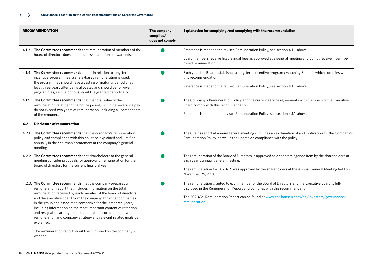| <b>RECOMMENDATION</b>                                                                                                                                                                                                                                                                                                                                                                                                                                                                                                                                                                                                                | The company<br>complies/<br>does not comply | Explanation for complying /not complying with the recommendation                                                                                                                                                                                                                                  |
|--------------------------------------------------------------------------------------------------------------------------------------------------------------------------------------------------------------------------------------------------------------------------------------------------------------------------------------------------------------------------------------------------------------------------------------------------------------------------------------------------------------------------------------------------------------------------------------------------------------------------------------|---------------------------------------------|---------------------------------------------------------------------------------------------------------------------------------------------------------------------------------------------------------------------------------------------------------------------------------------------------|
| 4.1.3. The Committee recommends that remuneration of members of the                                                                                                                                                                                                                                                                                                                                                                                                                                                                                                                                                                  |                                             | Reference is made to the revised Remuneration Policy, see section 4.1.1. above.                                                                                                                                                                                                                   |
| board of directors does not include share options or warrants.                                                                                                                                                                                                                                                                                                                                                                                                                                                                                                                                                                       |                                             | Board members receive fixed annual fees as approved at a general meeting and do not receive incentive-<br>based remuneration.                                                                                                                                                                     |
| 4.1.4. The Committee recommends that if, in relation to long-term<br>incentive programmes, a share-based remuneration is used,<br>the programmes should have a vesting or maturity period of at<br>least three years after being allocated and should be roll-over<br>programmes, i.e. the options should be granted periodically.                                                                                                                                                                                                                                                                                                   |                                             | Each year, the Board establishes a long-term incentive program (Matching Shares), which complies with<br>this recommendation.<br>Reference is made to the revised Remuneration Policy, see section 4.1.1. above.                                                                                  |
| 4.1.5 The Committee recommends that the total value of the<br>remuneration relating to the notice period, including severance pay,<br>do not exceed two years of remuneration, including all components<br>of the remuneration.                                                                                                                                                                                                                                                                                                                                                                                                      |                                             | The Company's Remuneration Policy and the current service agreements with members of the Executive<br>Board comply with this recommendation.<br>Reference is made to the revised Remuneration Policy, see section 4.1.1. above.                                                                   |
| <b>Disclosure of remuneration</b><br>4.2                                                                                                                                                                                                                                                                                                                                                                                                                                                                                                                                                                                             |                                             |                                                                                                                                                                                                                                                                                                   |
| 4.2.1. The Committee recommends that the company's remuneration<br>policy and compliance with this policy be explained and justified<br>annually in the chairman's statement at the company's general<br>meeting.                                                                                                                                                                                                                                                                                                                                                                                                                    |                                             | The Chair's report at annual general meetings includes an explanation of and motivation for the Company's<br>Remuneration Policy, as well as an update on compliance with the policy.                                                                                                             |
| 4.2.2. The Committee recommends that shareholders at the general<br>meeting consider proposals for approval of remuneration for the<br>board of directors for the current financial year.                                                                                                                                                                                                                                                                                                                                                                                                                                            |                                             | The remuneration of the Board of Directors is approved as a separate agenda item by the shareholders at<br>each year's annual general meeting.<br>The remuneration for 2020/21 was approved by the shareholders at the Annual General Meeting held on<br>November 25, 2020.                       |
| 4.2.3. The Committee recommends that the company prepares a<br>remuneration report that includes information on the total<br>remuneration received by each member of the board of directors<br>and the executive board from the company and other companies<br>in the group and associated companies for the last three years,<br>including information on the most important content of retention<br>and resignation arrangements and that the correlation between the<br>remuneration and company strategy and relevant related goals be<br>explained.<br>The remuneration report should be published on the company's<br>website. |                                             | The remuneration granted to each member of the Board of Directors and the Executive Board is fully<br>disclosed in the Remuneration Report and complies with this recommendation.<br>The 2020/21 Remuneration Report can be found at www.chr-hansen.com/en/investors/governance/<br>remuneration. |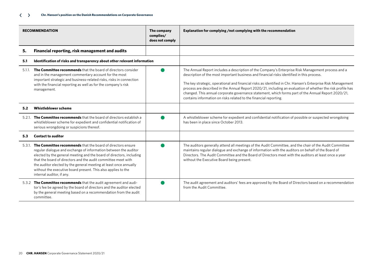| <b>RECOMMENDATION</b> |                                                                                                                                                                                                                                                                                                                                                                                                                                                    | The company<br>complies/<br>does not comply | Explanation for complying /not complying with the recommendation                                                                                                                                                                                                                                                                                                                                                                                                                                                                                                                                            |
|-----------------------|----------------------------------------------------------------------------------------------------------------------------------------------------------------------------------------------------------------------------------------------------------------------------------------------------------------------------------------------------------------------------------------------------------------------------------------------------|---------------------------------------------|-------------------------------------------------------------------------------------------------------------------------------------------------------------------------------------------------------------------------------------------------------------------------------------------------------------------------------------------------------------------------------------------------------------------------------------------------------------------------------------------------------------------------------------------------------------------------------------------------------------|
| 5.                    | Financial reporting, risk management and audits                                                                                                                                                                                                                                                                                                                                                                                                    |                                             |                                                                                                                                                                                                                                                                                                                                                                                                                                                                                                                                                                                                             |
| 5.1                   | Identification of risks and transparency about other relevant information                                                                                                                                                                                                                                                                                                                                                                          |                                             |                                                                                                                                                                                                                                                                                                                                                                                                                                                                                                                                                                                                             |
| 5.1.1.                | The Committee recommends that the board of directors consider<br>and in the management commentary account for the most<br>important strategic and business-related risks, risks in connection<br>with the financial reporting as well as for the company's risk<br>management.                                                                                                                                                                     |                                             | The Annual Report includes a description of the Company's Enterprise Risk Management process and a<br>description of the most important business and financial risks identified in this process.<br>The key strategic, operational and financial risks as identified in Chr. Hansen's Enterprise Risk Management<br>process are described in the Annual Report 2020/21, including an evaluation of whether the risk profile has<br>changed. This annual corporate governance statement, which forms part of the Annual Report 2020/21,<br>contains information on risks related to the financial reporting. |
| 5.2                   | <b>Whistleblower scheme</b>                                                                                                                                                                                                                                                                                                                                                                                                                        |                                             |                                                                                                                                                                                                                                                                                                                                                                                                                                                                                                                                                                                                             |
|                       | 5.2.1. The Committee recommends that the board of directors establish a<br>whistleblower scheme for expedient and confidential notification of<br>serious wrongdoing or suspicions thereof.                                                                                                                                                                                                                                                        |                                             | A whistleblower scheme for expedient and confidential notification of possible or suspected wrongdoing<br>has been in place since October 2013.                                                                                                                                                                                                                                                                                                                                                                                                                                                             |
| 5.3                   | <b>Contact to auditor</b>                                                                                                                                                                                                                                                                                                                                                                                                                          |                                             |                                                                                                                                                                                                                                                                                                                                                                                                                                                                                                                                                                                                             |
|                       | 5.3.1. The Committee recommends that the board of directors ensure<br>regular dialogue and exchange of information between the auditor<br>elected by the general meeting and the board of directors, including<br>that the board of directors and the audit committee meet with<br>the auditor elected by the general meeting at least once annually<br>without the executive board present. This also applies to the<br>internal auditor, if any. |                                             | The auditors generally attend all meetings of the Audit Committee, and the chair of the Audit Committee<br>maintains regular dialogue and exchange of information with the auditors on behalf of the Board of<br>Directors. The Audit Committee and the Board of Directors meet with the auditors at least once a year<br>without the Executive Board being present.                                                                                                                                                                                                                                        |
|                       | 5.3.2 The Committee recommends that the audit agreement and audi-<br>tor's fee be agreed by the board of directors and the auditor elected<br>by the general meeting based on a recommendation from the audit<br>committee.                                                                                                                                                                                                                        |                                             | The audit agreement and auditors' fees are approved by the Board of Directors based on a recommendation<br>from the Audit Committee.                                                                                                                                                                                                                                                                                                                                                                                                                                                                        |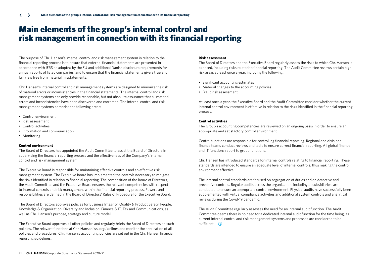## Main elements of the group's internal control and risk management in connection with its financial reporting

The purpose of Chr. Hansen's internal control and risk management system in relation to the financial reporting process is to ensure that external financial statements are presented in accordance with IFRS as adopted by the EU and additional Danish disclosure requirements for annual reports of listed companies, and to ensure that the financial statements give a true and fair view free from material misstatements.

Chr. Hansen's internal control and risk management systems are designed to minimize the risk of material errors or inconsistencies in the financial statements. The internal control and risk management systems can only provide reasonable, but not absolute assurance that all material errors and inconsistencies have been discovered and corrected. The internal control and risk management systems comprise the following areas:

- Control environment
- Risk assessment
- Control activities
- Information and communication
- Monitoring

### **Control environment**

The Board of Directors has appointed the Audit Committee to assist the Board of Directors in supervising the financial reporting process and the effectiveness of the Company's internal control and risk management system.

The Executive Board is responsible for maintaining effective controls and an effective risk management system. The Executive Board has implemented the controls necessary to mitigate the risks identified in relation to financial reporting. The composition of the Board of Directors, the Audit Committee and the Executive Board ensures the relevant competencies with respect to internal controls and risk management within the financial reporting process. Powers and responsibilities are defined in the Board of Directors' Rules of Procedure for the Executive Board.

The Board of Directors approves policies for Business Integrity, Quality & Product Safety, People, Knowledge & Organization, Diversity and Inclusion, Finance & IT, Tax and Communications, as well as Chr. Hansen's purpose, strategy and culture model.

The Executive Board approves all other policies and regularly briefs the Board of Directors on such policies. The relevant functions at Chr. Hansen issue guidelines and monitor the application of all policies and procedures. Chr. Hansen's accounting policies are set out in the Chr. Hansen financial reporting guidelines.

### **Risk assessment**

The Board of Directors and the Executive Board regularly assess the risks to which Chr. Hansen is exposed, including risks related to financial reporting. The Audit Committee reviews certain highrisk areas at least once a year, including the following:

- Significant accounting estimates
- Material changes to the accounting policies
- Fraud risk assessment

At least once a year, the Executive Board and the Audit Committee consider whether the current internal control environment is effective in relation to the risks identified in the financial reporting process.

### **Control activities**

The Group's accounting competencies are reviewed on an ongoing basis in order to ensure an appropriate and satisfactory control environment.

Central functions are responsible for controlling financial reporting. Regional and divisional finance teams conduct reviews and tests to ensure correct financial reporting. All global finance and IT functions report to group functions.

Chr. Hansen has introduced standards for internal controls relating to financial reporting. These standards are intended to ensure an adequate level of internal controls, thus making the control environment effective.

The internal control standards are focused on segregation of duties and on detective and preventive controls. Regular audits across the organization, including at subsidiaries, are conducted to ensure an appropriate control environment. Physical audits have successfully been supplemented with virtual compliance activities and additional system controls and analytical reviews during the Covid-19 pandemic.

The Audit Committee regularly assesses the need for an internal audit function. The Audit Committee deems there is no need for a dedicated internal audit function for the time being, as current internal control and risk management systems and processes are considered to be sufficient.  $\Theta$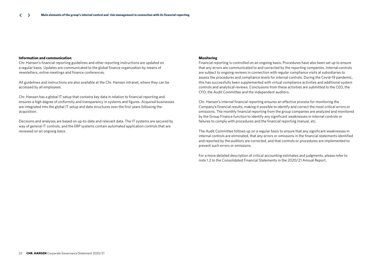### **Information and communication**

Chr. Hansen's financial reporting guidelines and other reporting instructions are updated on a regular basis. Updates are communicated to the global finance organization by means of newsletters, online meetings and finance conferences.

All guidelines and instructions are also available at the Chr. Hansen intranet, where they can be accessed by all employees.

Chr. Hansen has a global IT setup that contains key data in relation to financial reporting and ensures a high degree of uniformity and transparency in systems and figures. Acquired businesses are integrated into the global IT setup and data structures over the first years following the acquisition.

Decisions and analyses are based on up-to-date and relevant data. The IT systems are secured by way of general IT controls, and the ERP systems contain automated application controls that are reviewed on an ongoing basis.

#### **Monitoring**

Financial reporting is controlled on an ongoing basis. Procedures have also been set up to ensure that any errors are communicated to and corrected by the reporting companies. Internal controls are subject to ongoing reviews in connection with regular compliance visits at subsidiaries to assess the procedures and compliance levels for internal controls. During the Covid-19 pandemic, this has successfully been supplemented with virtual compliance activities and additional system controls and analytical reviews. Conclusions from these activities are submitted to the CEO, the CFO, the Audit Committee and the independent auditors.

Chr. Hansen's internal financial reporting ensures an effective process for monitoring the Company's financial results, making it possible to identify and correct the most critical errors or omissions. The monthly financial reporting from the group companies are analyzed and monitored by the Group Finance function to identify any significant weaknesses in internal controls or failures to comply with procedures and the financial reporting manual, etc.

The Audit Committee follows up on a regular basis to ensure that any significant weaknesses in internal controls are eliminated, that any errors or omissions in the financial statements identified and reported by the auditors are corrected, and that controls or procedures are implemented to prevent such errors or omissions.

For a more detailed description of critical accounting estimates and judgments, please refer to note 1.2 to the Consolidated Financial Statements in the 2020/21 Annual Report.